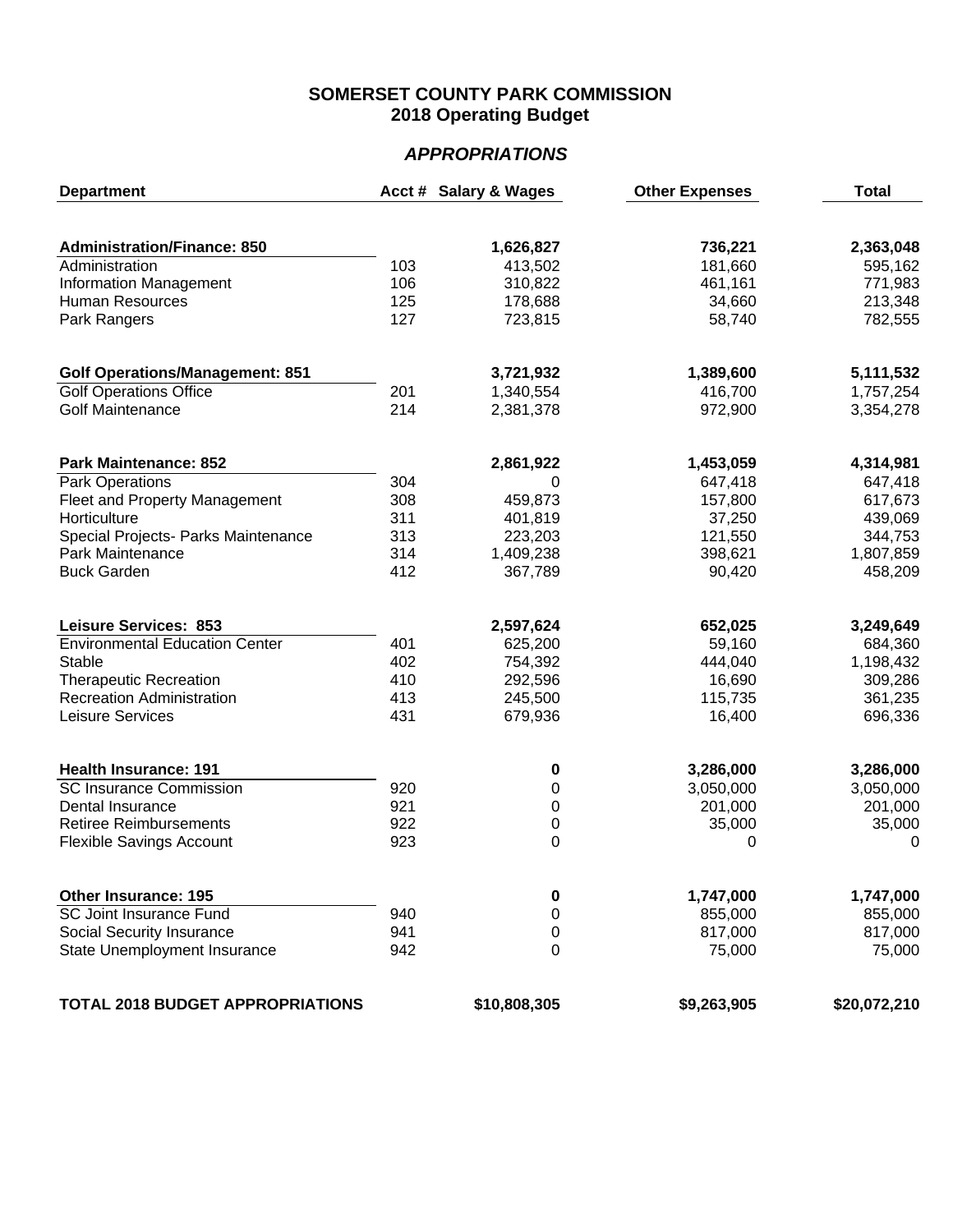## **SOMERSET COUNTY PARK COMMISSION 2018 Operating Budget**

## *APPROPRIATIONS*

| <b>Department</b>                       |     | Acct # Salary & Wages | <b>Other Expenses</b> | <b>Total</b> |
|-----------------------------------------|-----|-----------------------|-----------------------|--------------|
|                                         |     |                       |                       |              |
| <b>Administration/Finance: 850</b>      |     | 1,626,827             | 736,221               | 2,363,048    |
| Administration                          | 103 | 413,502               | 181,660               | 595,162      |
| Information Management                  | 106 | 310,822               | 461,161               | 771,983      |
| <b>Human Resources</b>                  | 125 | 178,688               | 34,660                | 213,348      |
| Park Rangers                            | 127 | 723,815               | 58,740                | 782,555      |
| <b>Golf Operations/Management: 851</b>  |     | 3,721,932             | 1,389,600             | 5,111,532    |
| <b>Golf Operations Office</b>           | 201 | 1,340,554             | 416,700               | 1,757,254    |
| <b>Golf Maintenance</b>                 | 214 | 2,381,378             | 972,900               | 3,354,278    |
| <b>Park Maintenance: 852</b>            |     | 2,861,922             | 1,453,059             | 4,314,981    |
| <b>Park Operations</b>                  | 304 | 0                     | 647,418               | 647,418      |
| <b>Fleet and Property Management</b>    | 308 | 459,873               | 157,800               | 617,673      |
| Horticulture                            | 311 | 401,819               | 37,250                | 439,069      |
| Special Projects- Parks Maintenance     | 313 | 223,203               | 121,550               | 344,753      |
| Park Maintenance                        | 314 | 1,409,238             | 398,621               | 1,807,859    |
| <b>Buck Garden</b>                      | 412 | 367,789               | 90,420                | 458,209      |
|                                         |     |                       |                       |              |
| <b>Leisure Services: 853</b>            |     | 2,597,624             | 652,025               | 3,249,649    |
| <b>Environmental Education Center</b>   | 401 | 625,200               | 59,160                | 684,360      |
| Stable                                  | 402 | 754,392               | 444,040               | 1,198,432    |
| <b>Therapeutic Recreation</b>           | 410 | 292,596               | 16,690                | 309,286      |
| <b>Recreation Administration</b>        | 413 | 245,500               | 115,735               | 361,235      |
| Leisure Services                        | 431 | 679,936               | 16,400                | 696,336      |
| <b>Health Insurance: 191</b>            |     | 0                     | 3,286,000             | 3,286,000    |
| <b>SC Insurance Commission</b>          | 920 | 0                     | 3,050,000             | 3,050,000    |
| Dental Insurance                        | 921 | 0                     | 201,000               | 201,000      |
| <b>Retiree Reimbursements</b>           | 922 | 0                     | 35,000                | 35,000       |
| <b>Flexible Savings Account</b>         | 923 | $\mathbf 0$           | 0                     | $\mathbf 0$  |
| <b>Other Insurance: 195</b>             |     | 0                     | 1,747,000             | 1,747,000    |
| <b>SC Joint Insurance Fund</b>          | 940 | 0                     | 855,000               | 855,000      |
| Social Security Insurance               | 941 | 0                     | 817,000               | 817,000      |
| State Unemployment Insurance            | 942 | 0                     | 75,000                | 75,000       |
|                                         |     |                       |                       |              |
| <b>TOTAL 2018 BUDGET APPROPRIATIONS</b> |     | \$10,808,305          | \$9,263,905           | \$20,072,210 |